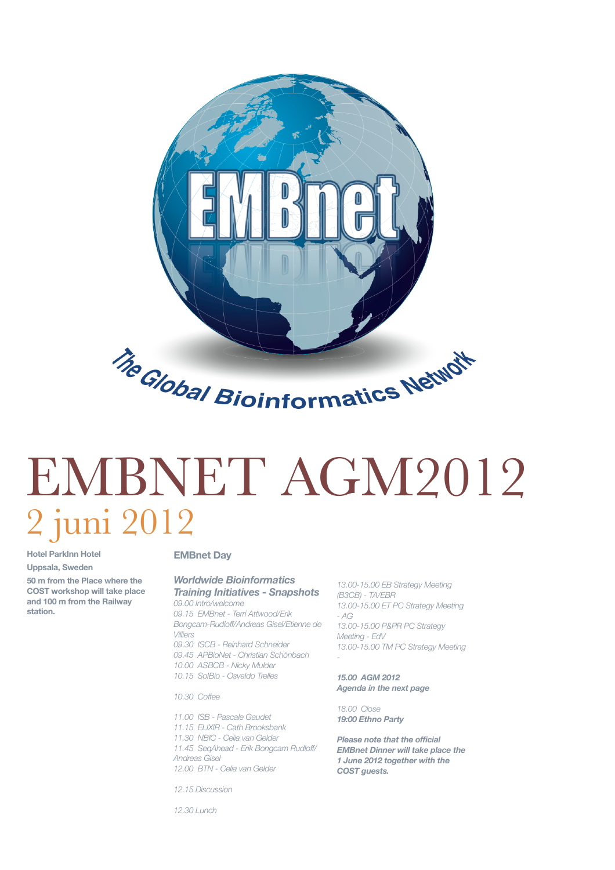

# EMBNET AGM2012 2 juni 2012

**Hotel ParkInn Hotel Uppsala, Sweden**

**50 m from the Place where the COST workshop will take place and 100 m from the Railway station.**

#### **EMBnet Day**

#### *Worldwide Bioinformatics Training Initiatives - Snapshots*

*09.00 Intro/welcome 09.15 EMBnet - Terri Attwood/Erik Bongcam-Rudloff/Andreas Gisel/Etienne de Villiers 09.30 ISCB - Reinhard Schneider*

*09.45 APBioNet - Christian Schönbach 10.00 ASBCB - Nicky Mulder 10.15 SoIBio - Osvaldo Trelles*

*10.30 Coffee*

*11.00 ISB - Pascale Gaudet 11.15 ELIXIR - Cath Brooksbank 11.30 NBIC - Celia van Gelder 11.45 SeqAhead - Erik Bongcam Rudloff/ Andreas Gisel 12.00 BTN - Celia van Gelder*

*13.00-15.00 EB Strategy Meeting (B3CB) - TA/EBR 13.00-15.00 ET PC Strategy Meeting - AG 13.00-15.00 P&PR PC Strategy Meeting - EdV 13.00-15.00 TM PC Strategy Meeting -* 

*15.00 AGM 2012 Agenda in the next page*

*18.00 Close 19:00 Ethno Party*

*Please note that the official EMBnet Dinner will take place the 1 June 2012 together with the COST guests.*

*12.15 Discussion*

*12.30 Lunch*